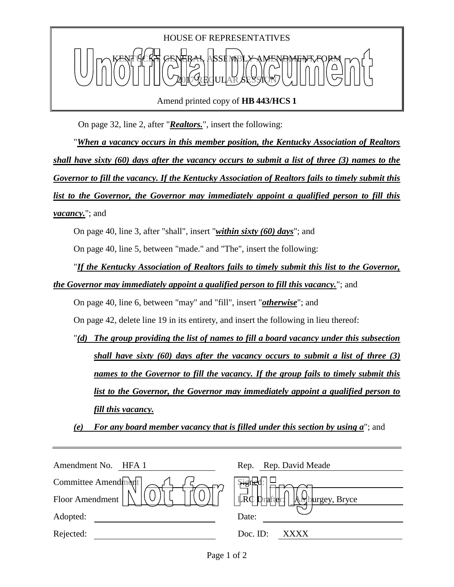

Amend printed copy of **HB 443/HCS 1**

On page 32, line 2, after "*Realtors.*", insert the following:

"*When a vacancy occurs in this member position, the Kentucky Association of Realtors shall have sixty (60) days after the vacancy occurs to submit a list of three (3) names to the Governor to fill the vacancy. If the Kentucky Association of Realtors fails to timely submit this list to the Governor, the Governor may immediately appoint a qualified person to fill this vacancy.*"; and

On page 40, line 3, after "shall", insert "*within sixty (60) days*"; and

On page 40, line 5, between "made." and "The", insert the following:

"*If the Kentucky Association of Realtors fails to timely submit this list to the Governor, the Governor may immediately appoint a qualified person to fill this vacancy.*"; and

On page 40, line 6, between "may" and "fill", insert "*otherwise*"; and

On page 42, delete line 19 in its entirety, and insert the following in lieu thereof:

"*(d) The group providing the list of names to fill a board vacancy under this subsection shall have sixty (60) days after the vacancy occurs to submit a list of three (3) names to the Governor to fill the vacancy. If the group fails to timely submit this list to the Governor, the Governor may immediately appoint a qualified person to fill this vacancy.*

*(e) For any board member vacancy that is filled under this section by using a*"; and

| Amendment No.<br>HFA 1 | Rep. Rep. David Meade         |
|------------------------|-------------------------------|
| Committee Amendment    | \$ignek                       |
| Floor Amendment        | LRC Drafter:<br>burgey, Bryce |
| Adopted:               | Date:                         |
| Rejected:              | Doc. ID:<br>XXXX              |
|                        |                               |